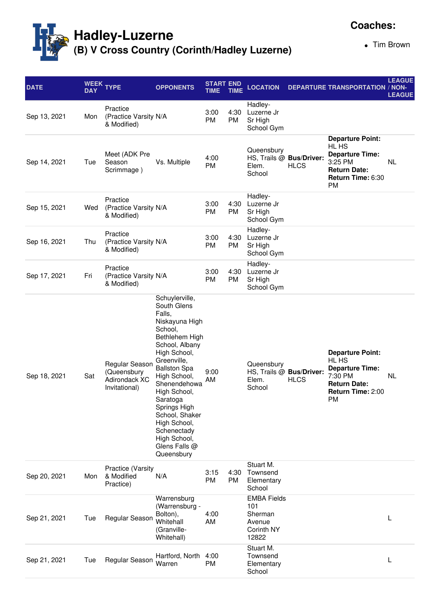

Tim Brown

**Coaches:**

| <b>DATE</b>  | WEEK<br><b>DAY</b> | <b>TYPE</b>                                                     | <b>OPPONENTS</b>                                                                                                                                                                                                                                                                                                                           | <b>START END</b><br><b>TIME</b> | <b>TIME</b>       | <b>LOCATION</b>                                                       |                                         | <b>DEPARTURE TRANSPORTATION / NON-</b>                                                                                         | <b>LEAGUE</b><br><b>LEAGUE</b> |
|--------------|--------------------|-----------------------------------------------------------------|--------------------------------------------------------------------------------------------------------------------------------------------------------------------------------------------------------------------------------------------------------------------------------------------------------------------------------------------|---------------------------------|-------------------|-----------------------------------------------------------------------|-----------------------------------------|--------------------------------------------------------------------------------------------------------------------------------|--------------------------------|
| Sep 13, 2021 | Mon                | Practice<br>(Practice Varsity N/A<br>& Modified)                |                                                                                                                                                                                                                                                                                                                                            | 3:00<br><b>PM</b>               | 4:30<br><b>PM</b> | Hadley-<br>Luzerne Jr<br>Sr High<br>School Gym                        |                                         |                                                                                                                                |                                |
| Sep 14, 2021 | Tue                | Meet (ADK Pre<br>Season<br>Scrimmage)                           | Vs. Multiple                                                                                                                                                                                                                                                                                                                               | 4:00<br><b>PM</b>               |                   | Queensbury<br>Elem.<br>School                                         | HS, Trails @ Bus/Driver:<br><b>HLCS</b> | <b>Departure Point:</b><br>HL HS<br><b>Departure Time:</b><br>3:25 PM<br><b>Return Date:</b><br>Return Time: 6:30<br><b>PM</b> | NL                             |
| Sep 15, 2021 | Wed                | Practice<br>(Practice Varsity N/A<br>& Modified)                |                                                                                                                                                                                                                                                                                                                                            | 3:00<br>PM                      | 4:30<br><b>PM</b> | Hadley-<br>Luzerne Jr<br>Sr High<br>School Gym                        |                                         |                                                                                                                                |                                |
| Sep 16, 2021 | Thu                | Practice<br>(Practice Varsity N/A<br>& Modified)                |                                                                                                                                                                                                                                                                                                                                            | 3:00<br><b>PM</b>               | 4:30<br><b>PM</b> | Hadley-<br>Luzerne Jr<br>Sr High<br>School Gym                        |                                         |                                                                                                                                |                                |
| Sep 17, 2021 | Fri                | Practice<br>(Practice Varsity N/A<br>& Modified)                |                                                                                                                                                                                                                                                                                                                                            | 3:00<br>PM                      | 4:30<br><b>PM</b> | Hadley-<br>Luzerne Jr<br>Sr High<br>School Gym                        |                                         |                                                                                                                                |                                |
| Sep 18, 2021 | Sat                | Regular Season<br>(Queensbury<br>Adirondack XC<br>Invitational) | Schuylerville,<br>South Glens<br>Falls,<br>Niskayuna High<br>School,<br>Bethlehem High<br>School, Albany<br>High School,<br>Greenville,<br><b>Ballston Spa</b><br>High School,<br>Shenendehowa<br>High School,<br>Saratoga<br>Springs High<br>School, Shaker<br>High School,<br>Schenectady<br>High School,<br>Glens Falls @<br>Queensbury | 9:00<br>AM                      |                   | Queensbury<br>Elem.<br>School                                         | HS, Trails @ Bus/Driver:<br><b>HLCS</b> | <b>Departure Point:</b><br>HL HS<br><b>Departure Time:</b><br>7:30 PM<br><b>Return Date:</b><br>Return Time: 2:00<br><b>PM</b> | NL                             |
| Sep 20, 2021 | Mon                | <b>Practice (Varsity</b><br>& Modified<br>Practice)             | N/A                                                                                                                                                                                                                                                                                                                                        | 3:15<br>PM                      | 4:30<br><b>PM</b> | Stuart M.<br>Townsend<br>Elementary<br>School                         |                                         |                                                                                                                                |                                |
| Sep 21, 2021 | Tue                | Regular Season                                                  | Warrensburg<br>(Warrensburg -<br>Bolton),<br>Whitehall<br>(Granville-<br>Whitehall)                                                                                                                                                                                                                                                        | 4:00<br>AM                      |                   | <b>EMBA Fields</b><br>101<br>Sherman<br>Avenue<br>Corinth NY<br>12822 |                                         |                                                                                                                                |                                |
| Sep 21, 2021 | Tue                | Regular Season                                                  | Hartford, North<br>Warren                                                                                                                                                                                                                                                                                                                  | 4:00<br>PM                      |                   | Stuart M.<br>Townsend<br>Elementary<br>School                         |                                         |                                                                                                                                |                                |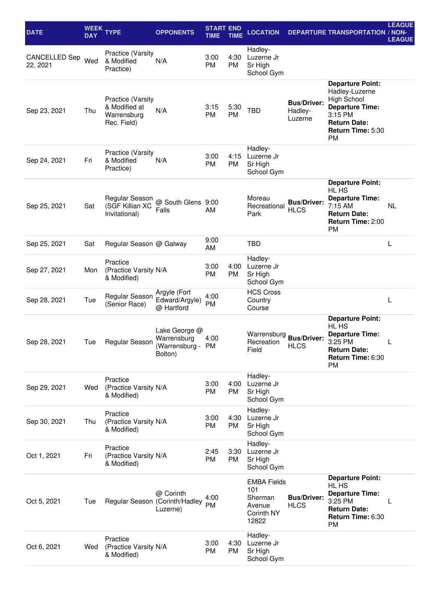| <b>DATE</b>               | <b>DAY</b> | WEEK TYPE                                                               | <b>OPPONENTS</b>                                          | <b>START END</b><br>TIME | <b>TIME</b>       | <b>LOCATION</b>                                                       |                                          | <b>DEPARTURE TRANSPORTATION / NON-</b>                                                                                                                        | <b>LEAGUE</b><br><b>LEAGUE</b> |
|---------------------------|------------|-------------------------------------------------------------------------|-----------------------------------------------------------|--------------------------|-------------------|-----------------------------------------------------------------------|------------------------------------------|---------------------------------------------------------------------------------------------------------------------------------------------------------------|--------------------------------|
| CANCELLED Sep<br>22, 2021 | Wed        | <b>Practice (Varsity</b><br>& Modified<br>Practice)                     | N/A                                                       | 3:00<br><b>PM</b>        | 4:30<br><b>PM</b> | Hadley-<br>Luzerne Jr<br>Sr High<br>School Gym                        |                                          |                                                                                                                                                               |                                |
| Sep 23, 2021              | Thu        | <b>Practice (Varsity</b><br>& Modified at<br>Warrensburg<br>Rec. Field) | N/A                                                       | 3:15<br><b>PM</b>        | 5:30<br><b>PM</b> | <b>TBD</b>                                                            | <b>Bus/Driver:</b><br>Hadley-<br>Luzerne | <b>Departure Point:</b><br>Hadley-Luzerne<br><b>High School</b><br><b>Departure Time:</b><br>3:15 PM<br><b>Return Date:</b><br>Return Time: 5:30<br><b>PM</b> |                                |
| Sep 24, 2021              | Fri        | <b>Practice (Varsity</b><br>& Modified<br>Practice)                     | N/A                                                       | 3:00<br><b>PM</b>        | 4:15<br><b>PM</b> | Hadley-<br>Luzerne Jr<br>Sr High<br>School Gym                        |                                          |                                                                                                                                                               |                                |
| Sep 25, 2021              | Sat        | Regular Season<br>(SGF Killian XC<br>Invitational)                      | @ South Glens 9:00<br>Falls                               | AM                       |                   | Moreau<br>Recreational<br>Park                                        | <b>Bus/Driver:</b><br><b>HLCS</b>        | <b>Departure Point:</b><br>HL HS<br><b>Departure Time:</b><br>7:15 AM<br><b>Return Date:</b><br>Return Time: 2:00<br><b>PM</b>                                | NL                             |
| Sep 25, 2021              | Sat        | Regular Season @ Galway                                                 |                                                           | 9:00<br>AM               |                   | <b>TBD</b>                                                            |                                          |                                                                                                                                                               | L                              |
| Sep 27, 2021              | Mon        | Practice<br>(Practice Varsity N/A<br>& Modified)                        |                                                           | 3:00<br><b>PM</b>        | 4:00<br><b>PM</b> | Hadley-<br>Luzerne Jr<br>Sr High<br>School Gym                        |                                          |                                                                                                                                                               |                                |
| Sep 28, 2021              | Tue        | Regular Season<br>(Senior Race)                                         | Argyle (Fort<br>Edward/Argyle)<br>@ Hartford              | 4:00<br><b>PM</b>        |                   | <b>HCS Cross</b><br>Country<br>Course                                 |                                          |                                                                                                                                                               | L                              |
| Sep 28, 2021              | Tue        | Regular Season                                                          | Lake George @<br>Warrensburg<br>(Warrensburg -<br>Bolton) | 4:00<br>PM               |                   | Warrensburg<br>Recreation<br>Field                                    | <b>Bus/Driver:</b><br><b>HLCS</b>        | <b>Departure Point:</b><br>HL HS<br><b>Departure Time:</b><br>3:25 PM<br><b>Return Date:</b><br>Return Time: 6:30<br><b>PM</b>                                | L                              |
| Sep 29, 2021              | Wed        | Practice<br>(Practice Varsity N/A<br>& Modified)                        |                                                           | 3:00<br><b>PM</b>        | 4:00<br>PM        | Hadley-<br>Luzerne Jr<br>Sr High<br>School Gym                        |                                          |                                                                                                                                                               |                                |
| Sep 30, 2021              | Thu        | Practice<br>(Practice Varsity N/A<br>& Modified)                        |                                                           | 3:00<br>PM               | 4:30<br>PM        | Hadley-<br>Luzerne Jr<br>Sr High<br>School Gym                        |                                          |                                                                                                                                                               |                                |
| Oct 1, 2021               | Fri        | Practice<br>(Practice Varsity N/A<br>& Modified)                        |                                                           | 2:45<br><b>PM</b>        | 3:30<br>PM        | Hadley-<br>Luzerne Jr<br>Sr High<br>School Gym                        |                                          |                                                                                                                                                               |                                |
| Oct 5, 2021               | Tue        | Regular Season (Corinth/Hadley                                          | @ Corinth<br>Luzerne)                                     | 4:00<br><b>PM</b>        |                   | <b>EMBA Fields</b><br>101<br>Sherman<br>Avenue<br>Corinth NY<br>12822 | <b>Bus/Driver:</b><br><b>HLCS</b>        | <b>Departure Point:</b><br>HL HS<br><b>Departure Time:</b><br>3:25 PM<br><b>Return Date:</b><br>Return Time: 6:30<br><b>PM</b>                                | L                              |
| Oct 6, 2021               | Wed        | Practice<br>(Practice Varsity N/A<br>& Modified)                        |                                                           | 3:00<br>PM               | 4:30<br>PM        | Hadley-<br>Luzerne Jr<br>Sr High<br>School Gym                        |                                          |                                                                                                                                                               |                                |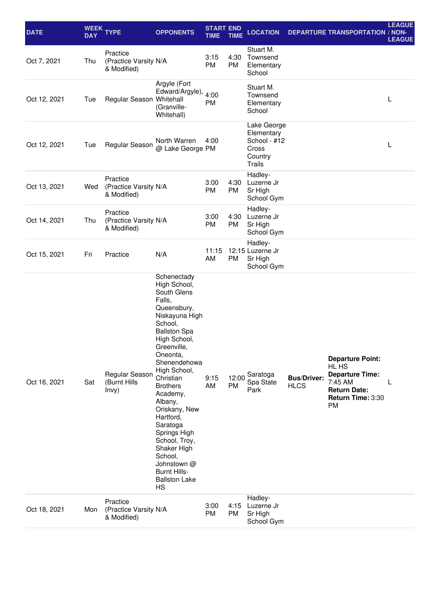| <b>DATE</b>  | <b>DAY</b> | WEEK TYPE                                        | <b>OPPONENTS</b>                                                                                                                                                                                                                                                                                                                                                                                                                   | <b>START END</b><br><b>TIME</b> | <b>TIME</b> | <b>LOCATION</b>                                                                |                                   | <b>DEPARTURE TRANSPORTATION / NON-</b>                                                                                         | <b>LEAGUE</b><br><b>LEAGUE</b> |
|--------------|------------|--------------------------------------------------|------------------------------------------------------------------------------------------------------------------------------------------------------------------------------------------------------------------------------------------------------------------------------------------------------------------------------------------------------------------------------------------------------------------------------------|---------------------------------|-------------|--------------------------------------------------------------------------------|-----------------------------------|--------------------------------------------------------------------------------------------------------------------------------|--------------------------------|
| Oct 7, 2021  | Thu        | Practice<br>(Practice Varsity N/A<br>& Modified) |                                                                                                                                                                                                                                                                                                                                                                                                                                    | 3:15<br><b>PM</b>               | 4:30<br>PM  | Stuart M.<br>Townsend<br>Elementary<br>School                                  |                                   |                                                                                                                                |                                |
| Oct 12, 2021 | Tue        | Regular Season Whitehall                         | Argyle (Fort<br>Edward/Argyle)<br>(Granville-<br>Whitehall)                                                                                                                                                                                                                                                                                                                                                                        | 4:00<br>PM                      |             | Stuart M.<br>Townsend<br>Elementary<br>School                                  |                                   |                                                                                                                                | L                              |
| Oct 12, 2021 | Tue        | Regular Season                                   | North Warren<br>@ Lake George PM                                                                                                                                                                                                                                                                                                                                                                                                   | 4:00                            |             | Lake George<br>Elementary<br>School - #12<br>Cross<br>Country<br><b>Trails</b> |                                   |                                                                                                                                | L                              |
| Oct 13, 2021 | Wed        | Practice<br>(Practice Varsity N/A<br>& Modified) |                                                                                                                                                                                                                                                                                                                                                                                                                                    | 3:00<br>PM                      | 4:30<br>PM  | Hadley-<br>Luzerne Jr<br>Sr High<br>School Gym                                 |                                   |                                                                                                                                |                                |
| Oct 14, 2021 | Thu        | Practice<br>(Practice Varsity N/A<br>& Modified) |                                                                                                                                                                                                                                                                                                                                                                                                                                    | 3:00<br><b>PM</b>               | 4:30<br>PM  | Hadley-<br>Luzerne Jr<br>Sr High<br>School Gym                                 |                                   |                                                                                                                                |                                |
| Oct 15, 2021 | Fri        | Practice                                         | N/A                                                                                                                                                                                                                                                                                                                                                                                                                                | 11:15<br>AM                     | PM          | Hadley-<br>12:15 Luzerne Jr<br>Sr High<br>School Gym                           |                                   |                                                                                                                                |                                |
| Oct 16, 2021 | Sat        | Regular Season<br>(Burnt Hills<br>lnvy)          | Schenectady<br>High School,<br>South Glens<br>Falls,<br>Queensbury,<br>Niskayuna High<br>School,<br><b>Ballston Spa</b><br>High School,<br>Greenville,<br>Oneonta,<br>Shenendehowa<br>High School,<br>Christian<br><b>Brothers</b><br>Academy,<br>Albany,<br>Oriskany, New<br>Hartford,<br>Saratoga<br>Springs High<br>School, Troy,<br>Shaker High<br>School,<br>Johnstown @<br><b>Burnt Hills-</b><br><b>Ballston Lake</b><br>HS | 9:15<br>AM                      | 12:00<br>PM | Saratoga<br>Spa State<br>Park                                                  | <b>Bus/Driver:</b><br><b>HLCS</b> | <b>Departure Point:</b><br>HL HS<br><b>Departure Time:</b><br>7:45 AM<br><b>Return Date:</b><br>Return Time: 3:30<br><b>PM</b> | L                              |
| Oct 18, 2021 | Mon        | Practice<br>(Practice Varsity N/A<br>& Modified) |                                                                                                                                                                                                                                                                                                                                                                                                                                    | 3:00<br><b>PM</b>               | 4:15<br>PM  | Hadley-<br>Luzerne Jr<br>Sr High<br>School Gym                                 |                                   |                                                                                                                                |                                |